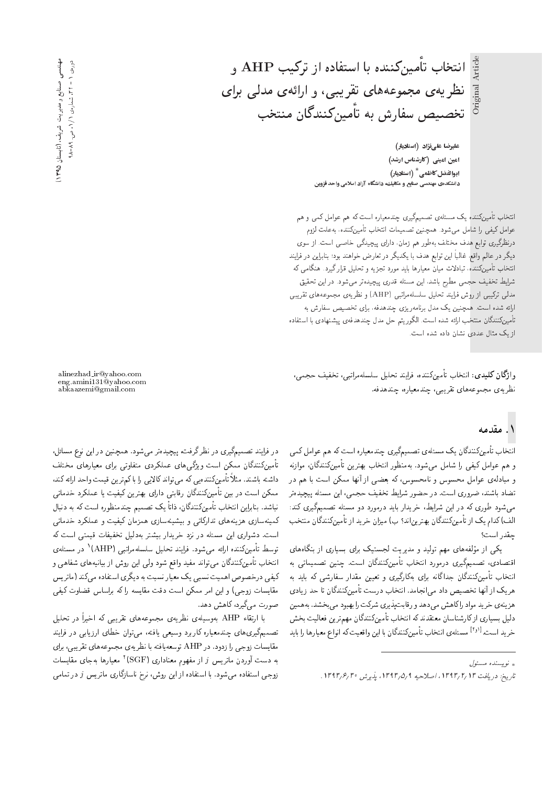انتخاب تأمینکننده با استفاده از ترکیب AHP و نظریهی مجموعههای تقریبی، و ارائهی مدلی برای تخصیص سفارش به تاًمینکنندگان منتخب

Original Article

Original

علیرضا علیiزاد (استادیار) امین امینی (کارشناس ارشد) |بوالفضل كاظمى \* (استاديار) دانشکدهی مهندسی صنایع و مکانیك، دانشگاه آزاد اسلامی واحد قزوین

انتخاب تأمینکننده یک مسئلهی تصمیمگیری چندمعیاره است که هم عوامل کمی و هم عوامل كيفي را شامل مي شود. همچنين تصميمات انتخاب تأمينكننده، بهعلت لزوم درنظرگیری توابع هدف مختلف بهطور هم زمان، دارای پیچیدگی خاصبی است. از سوی دیگر در عالم واقع، غالباً این توابع هدف با یکدیگر در تعارض خواهند بود؛ بنابراین در فرایند انتخاب تأمینکننده، تبادلات میان معیارها باید مورد تجزیه و تحلیل قرارگیرد. هنگامی که شرایط تخفیف حجمی مطرح باشد، این مسئله قدری پیچیدهتر میشود. در این تحقیق مدلمی ترکیبی از روش فرایند تحلیل سلسلهمراتبی (AHP) و نظریهی مجموعههای تقریبی ارائه شده است. همچنین یک مدل برنامه ریزی چندهدفه، برای تخصیص سفارش به تأمينكنندگان منتخب ارائه شده است. الگوريتم حل مدل چندهدفهٯ پيشنهادى با استفاده از یک مثال عددی نشان داده شده است.

وا**ژگان کلیدی**: انتخاب تأمینکننده، فرایند تحلیل سلسلهمراتبی، تخفیف حجمی، نظریهی مجموعههای تقریبی، چندمعیاره، چندهدفه.

## ۱. مقدمه

|نتخاب تأمینکنندگان یک مسئلهی تصمیمگیری چندمعیاره است که هم عوامل کمی و هم عوامل كيفي را شامل مي شود. بهمنظور انتخاب بهترين تأمينكنندگان، موازنه و مبادلهى عوامل محسوس و نامحسوس، كه بعضى از آنها ممكن است با هم در تضاد باشند، ضروری است. در حضور شرایط تخفیف حجمی، این مسئله پیچیدهتر می شود طوری که در این شرایط، خریدار باید درمورد دو مسئله تصمیمگیری کند: الف) کدام یک از تأمینکنندگان بهترین|ند؟ ب) میزان خرید از تأمینکنندگان منتخب جقدر است؟

یکی از مولفههای مهم تولید و مدیریت لجستیک برای بسیاری از بنگاههای<br>است. - افتصادی، تصمیم دیری درمورد انتخاب تامین نشددان است. چنین تصمیماتی به<br>اسماعی با مستک انتخاب تأمینکنندگان جداگانه برای بهکارگیری و تعیین مقدار سفارشی که باید به هریک از آنها تخصیص داد می|نجامد. انتخاب درست تأمینکنندگان تا حد زیادی هزينهي خريد مواد راكاهش مىدهد و رقابت پذيري شركت را بهبود مى بخشد. به همين دلیل بسیاری از کارشناسان معتقدند که انتخاب تأمینکنندگان مهم ترین فعالیت بخش خريد است.<sup>[۱۶۱</sup> مسئلهى انتخاب تأمينكنندگان با اين واقعيت كه انواع معيارها را بايد<br>-

ے، (کابستان ۱۳۹۵) د

صنایع و مدیریت شریف مهندسی صنایع و مدیریت شریف، (تابستان ۱۳۹۵)<br>دوردی ۱ - ۲۲، شماردی ۱/۱، ص. ۸۹-۹۸  $\Omega_{\Lambda}$ دورەی ۱ – ۲۲، شمارەی ۱ /۱، ص. ۸۹–

> alinezhad ir@yahoo.com eng.amini131@yahoo.com abkaazemi@gmail.com

در فرایند تصمیمگیری در نظر گرفت، پیچیدهتر می شود. همچنین در این نوع مسائل، تأمینکنندگان ممکن است ویژگی های عملکردی متفاوتی برای معیارهای مختلف داشته باشند. مثلا تامین(مننده یی که می تواند دالا یی را با کم ترین فیمت واحد ارائه کند،<br>محمد است که این کشور می این محمد است این این این معنی است که این معنی این معنی این ممکن است در بین تأمینکنندگان رقابتی دارای بهترین کیفیت یا عملکرد خدماتی نباشد. بنابراین انتخاب تامین(ننندتان، داتا یک تصمیم چندمنظوره است که به دنبال<br>بر مصدر استفاده استفاد کار كمينهسازى هزينههاى تداركاتى وبيشينهسازى همزمان كيفيت و عملكرد خدماتى است. دشواری این مسئله در نزد خریدار بیشتر بهدلیل تخفیفات قیمتی است که توسط تامینکننده ارائه میشود. فرایند تحلیل سلسلهمراتبی (AHP)' در مسئلهی<br>ارداد ما حقیقی کندگان میتوان منصولت و مطلب است. انتخاب تأمینکنندگان میتواند مفید واقع شود ولی این روش از بیانیههای شفاهی و کیفی درخصوص اهمیت نسبی یک معیار نسبت به دیگری استفاده می کند (ماتری*س* مقايسات زوجي) و اين امر ممكن است دقت مقايسه راكه براساس قضاوت كيفي صورت مىگيرد، كاهش دهد.

با ارتقاء AHP بهوسیلهی نظریهی مجموعههای تقریبی که اخیراً در تحلیل تصمیمگیری،های چندمعیاره کاربرد وسیعی یافته، میتوان خطای ارزیابی در فرایند مقايسات زوجي را زدود. در AHP توسعه يافته با نظريه ي مجموعه هاي تقريبي، براي به دست آوردن ماتریس i (SGF) (SGF) معیارها بهجای مقایسات<br>ساحتان میساسد استفاد ایل میستود که استفاده زوجی استفاده میشود. با استفاده از این روش، نرخ ناسازگاری ماتریس j در تمامی

تويسنده مسئول

تاريخ: دريافت ١٣٩٣/٢/ ١٣٩٣/١، اصلاحيه ١٣٩٣/٥/٩ ا.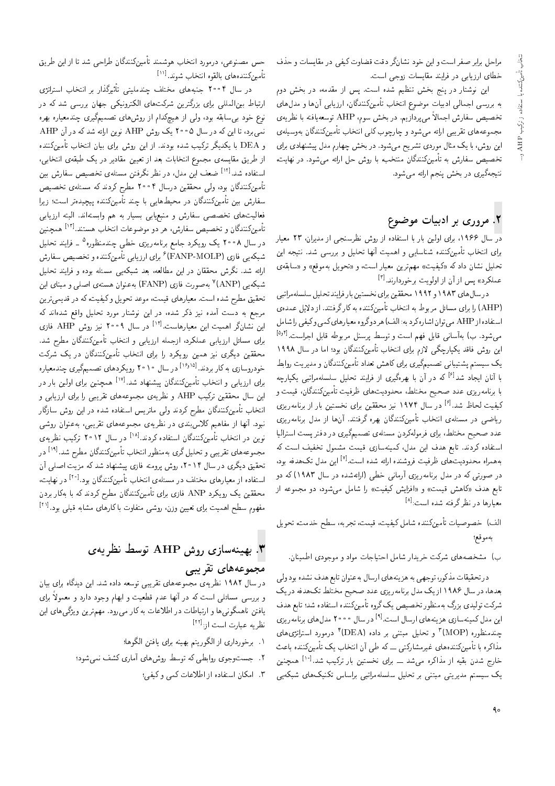مراحل برابر صفر است و این خود نشانگر دقت قضاوت کیفی در مقایسات و حذف خطای ارزیابی در فرایند مقایسات زوجی است.

این نوشتار در پنج بخش تنظیم شده است. پس از مقدمه، در بخش دوم به بررسی اجمالی ادبیات موضوع انتخاب تأمینکنندگان، ارزیابی آنها و مدل های تخصیص سفارش اجمالاً می پردازیم. در بخش سوم، AHP توسعه یافته با نظریهی مجموعههای تقریبی ارائه میشود و چارچوب کلی انتخاب تأمینکنندگان بهوسیلهی<br>این روش، با یک مثال موردی تشریح میشود. در بخش چهارم مدل پیشنهادی برای این روس، با یک مدل موردی نسریح می سود. در بخس چهارم مدل پیستهادی برای<br>- در استفاده استفاده میشود و استفاده برای استفاده با استفاده استفاده تخصیص سفارش به تامین(مندلان منتخب، با روش حل ارائه میشود. در نهایت،<br>. نتيجهگيري در بخش پنجم ارائه مي شود.

# ۲. مروری بر ادبیات موضوع

<mark>در</mark> سال ۱۹۶۶، برای اولین بار با استفاده از روش نظرسنجی از مدیران، ۲۳ معیار برای انتخاب تأمینکننده شناسایی و اهمیت آنها تحلیل و بررسی شد. نتیجه این تحلیل نشان دادکه «کیفیت» مهمترین معیار است، و «تحویل بهموقع» و «سابقهی عملکرد» پس از آن از اولویت برخوردارند.<sup>[۳]</sup><br>المسلمه المسلم ۱۵۸۳

درسال های ۱۹۸۳ و ۱۹۹۲ محققین برای نخستین بار فرایند تحلیل سلسلهمراتبی (AHP) را برای مسائل مربوط به انتخاب تأمینکننده به کارگرفتند. از دلایل عمدهی استفاده از AHP می توان اشاره کرد به: الف) هر دوگروه معیارهای کمی وکیفی را شامل مىشود. ب) بەآسانى قابل فهم است و توسط پرسنل مربوطه قابل اجراست.<sup>[آور]</sup><br>است در ناتور کول گے اقتصار علیہ بنا و تک کورگا این روش فاقد یکپارچگی لازم برای انتخاب تأمینکنندگان بود؛ اما در سال ۱۹۹۸ یک سیستم پشتیبانی تصمیمگیری برای کاهش تعداد تأمینکنندگان و مدیریت روابط با آنان ایجاد شد<sup>[۶]</sup> که در آن با بهرهگیری از فرایند تحلیل سلسلهمراتبی یکپارچه<br>استان با برنامه<code>ریزی عدد</code> صحیح مختلط، محدودیتهای ظرفیت تأمینکنندگان، قیمت و كيفيت لحاظ شد.<sup>[۶]</sup> در سال ۱۹۷۴ نيز محققين براى نخستين بار از برنامه ريزى<br>- اور مساح العضاء العضاء بكستگاه كندگاه ریاضی در مسئلهی انتخاب تأمینکنندگان بهره گرفتند. آنها از مدل برنامهریزی عدد صحیح مختلط، برای فرمولهکردن مسئلهی تصمیمگیری در دفتر پست استرالیا استفاده کردند. تابع هدف این مدل، کمینهسازی قیمت مشمول تخفیف است که به همراه محدودیت های ظرفیت فروشنده ارائه شده است.<sup>[۷]</sup> این مدل تک هدفه بود،<br>مصری است که میرود است است آن این مطرح است است است است این مورد این در صورتی که در مدل برنامهریزی آرمانی خطی (ارائهشده در سال ۱۹۸۳) که دو تابع هدف «کاهش قیمت» و «افزایش کیفیت» را شامل می شود، دو مجموعه از معیارها در نظرگرفته شده است:<sup>[۸]</sup><br>.

الف) خصوصيات تأمينكننده شامل كيفيت، قيمت، تجربه، سطح خدمت، تحويل بەموقع؛

ب) مشخصههای شرکت خریدار شامل احتیاجات مواد و موجودی اطمینان.

در تحقیقات مذکور، توجهی به هزینههای ارسال به عنوان تابع هدف نشده بود ولی بعدها، در سال ۱۹۸۶ از یک مدل برنامهریزی عدد صحیح مختلط تک هدفه در یک شرکت تولیدی بزرگ بهمنظور تخصیص یک گروه تأمینکننده استفاده شد؛ تابع هدف این مدل کمینهسازی هزینههای ارسال است.<sup>[۹]</sup> در سال ۲۰۰۰ مدل های برنامه ریزی<br>میسینالمصلا CUL و ۲٬۱۸۷٬۲۱۲ میلیارد و ۲٬۱۲۲٬۲۰۲ چندمنظورہ (MOP) ؓ و تحلیل مبتنی بر دادہ (DEA) ؓ درمورد استراتژی&ای<br>پاکسپانا کے سرمان نے پاکستان کے لیے ایران کے شرکت کے س مذاکره با تأمینکنندههای غیرمشارکتی ـــ که طی آن انتخاب یک تأمینکننده باعث خارج شدن بقیه از مذاکره میشد ـــ برای نخستین بار ترکیب شد.<sup>[۱۰]</sup> همچنین<br>بر یک سیستم مدیریتی مبتنی بر تحلیل سلسلهمراتبی براساس تکنیکهای شبکهیی

حس مصنوعی، درمورد انتخاب هوشمند تأمینکنندگان طراحی شد تا از این طریق تأمينكنندههاى بالقوه انتخاب شوند.<sup>[۱۱</sup>]<br>مامستان میسا

در سال ۲۰۰۲ جنبههای مختلف چندملیتی تاتیرددار بر انتخاب استراتژی<br>ایسپالیان مستقل میکرد از این مسکن استراتژی ارتباط بین|لمللی برای بزرگترین شرکتهای الکترونیکی جهان بررسی شد که در .<br>نوع خود بی سابقه بود، ولمی از هیچکدام از روش های تصمیمگیری چندمعیاره بهره نمیبرد، تا این که در سال ۲۰۰۵ یک روش AHP نوین ارائه شدکه در آن AHP و DEA با يكديگر تركيب شده بودند. از اين روش براي بيان انتخاب تأمينكننده از طریق مقایسهی مجموع انتخابات بعد از تعیین مقادیر در یک طبقهی انتخابی، استفاده شد.<sup>[۱۲]</sup> ضعف این مدل. در نظر نگرفتن مسئلهی تخصیص سفارش بین<br>باشی کنیگا تأمینکنندگان بود، ولی محققین درسال ۴°۲۰ مطرح کردند که مسئلهی تخصیص سفارش بین تأمینکنندگان در محیطهایی با چند تأمینکننده پیچیدهتر است؛ زیرا فعالیتهای تخصصی سفارش و منبعیابی بسیار به هم وابستهاند. البته ارزیابی تأمينكنندگان و تخصيص سفارش، هر دو موضوعات انتخاب هستند.<sup>[۱۲]</sup> همچنين<br>بازمان موسم کردندگر در سال ۲۰۰۸ یک رویکرد جامع برنامهریزی خطبی چندمنظوره<sup>۵</sup> ـ فرایند تحلیل در سال ۱۰۰۸ یک رویدرد جامع برنامهریزی حظی چندمنطوره<br>مسکن از COVD MOLD اسکان استان کنیس شبکهیی فازی (FANP-MOLP)٬ برای ارزیابی نامینکننده و تخصیص سفارش<br>ایلمندن گفت: مقتل استفاده ارائه شد. نگرش محققان در این مطالعه، بعد شبکهیی مسئله بوده و فرایند تحلیل شبکهیی (ANP)' بهصورت فازی (FANP) به عنوان هستهی اصلی و مبنای این<br>مستقیم به مدیر استقیام استقیمت به دسته با مکن میکند ک تحقیق مطرح شده است. معیارهای قیمت، موعد تحویل وکیفیت،که در قدیمیترین<br>مرجع به دست آمده نیز ذکر شده، در این نوشتار مورد تحلیل واقع شدهاند که مرجع به دست آمده بیز ددر سده، در این نوستار مورد تحلیل واقع سدهآمد ده<br>استنبا گیانی است است از آذابی می می دست می توانسته این نشانگر اهمیت این معیارهاست.<sup>[۱۴]</sup> در سال ۲۰۰۹ نیز روش AHP فازی<br>بارها ایران ایران برای مسائل ارزیابی عملکرد، ازجمله ارزیابی و انتخاب تأمینکنندگان مطرح شد. محققین دیگری نیز همین رویکرد را برای انتخاب تأمینکنندگان در یک شرکت حودروسازی به دار بردند.<br>برای ارزیابی و انتخاب تأمینکنندگان پیشنهاد شد.<sup>[۱۷]</sup> همچنین برای اولین بار در<br>اسمال است تقدیم ه<del>سته</del> و منا خودروسازی به کار بردند. <sup>[۱۶٬۱۵]</sup> در سال ۲۰۱۰ رویکردهای تصمیمگیری چندمعیاره همچنین برای اولین بار در<br>----این سال محققین ترکیب AHP و نظریه ی مجموعههای تقریبی را برای ارزیابی و<br>از دار میشم کننگل مطلب کردند از سال سال سال سال سال ایران انتخاب تأمینکنندگان مطرح کردند ولی ماتریس استفاده شده در این روش سازگار<br>نبود. آنها از مفاهیم کلاس,بندی در نظر بهی مجموعههای تقریبی، بهعنوان روشی |WwQ u=wvax@ '|@} QkD |=yxawtHt |x} Q\_v QO |Ov@Tqm s}y=it R= =yv; "Ow@v نوین در انتخاب تأمینکنندگان استفاده کردند.<sup>[۱۸]</sup> در سال ۲۰۱۲ ترکیب نظری*هی*<br>مطلب تقسیم است تحقیق دیگری در سال ۲۰۱۴، روش برومته فازی پیشنهاد شد که مزیت اصلی آن [19] "OW KQ]t u=oOvvmu}t-=D ?=NDv= Qw\_vtx@ |Qo p}rLD w |@} QkD |=yxawtHt سخفین دیگری در سال ۱۱ ۱۳۰ روس پرومنه فازی پیستهاد سد ته مزیب اصلی آن<br>استان اسلامات این مصدق اسمان استان اسکن گل 'C}=yv QO [20] "Ow@ u=oOvvmu}t-=D ?=NDv= |xrUt QO hrDNt |=yQ=}at R= xO=iDU= محققین یک رویکرد ANP فازی برای تأمینکنندگان مطرح کردند که با بهکار بردن مفهوم سطح اهمیت برای تعیین وزن<sub>′</sub> روشی متفاوت با کارهای مشابه قبلی بود.<sup>[۱۱</sup>]<br>.

# بهمینهسازی روش AHP توسط نظریهی "

## مجموعههای تقریبی

در سال ۱۹۸۲ نظریه ی مجموعههای تقریبی توسعه داده شد. این دیدگاه برای بیان و بررسی مسائلی است که در آنها عدم فطعیت و ابهام وجود دارد و معمولاً برای<br>از مطالعه گیلسا و الطالعات الله ا یافتن ناهمگونی ها و ارتباطات در اطلاعات به کار می رود. مهمترین ویژگی های این نظریه عبارت است از:<sup>[21]</sup><br>-

- ٠. برخوردارى از الكوريتم بهينه براى يافتن الكوها؛
- ۲. جستوجوی روابطی که توسط روشهای آماری کشف نمی شود؛
	- ۳. امکان استفاده از اطلاعات کمی و کیفی؛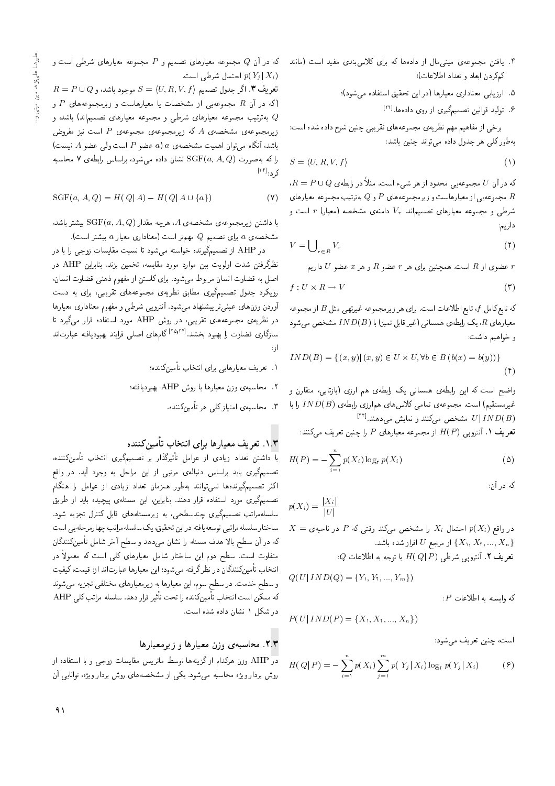- ۵. ارزیابی معناداری معیارها (در این تحقیق استفاده می شود)؛
	- ۶. تولید قوانین تصمیمگیری از روی دادهها.[<sup>۲۲]</sup>

برخي از مفاهيم مهم نظريهي مجموعههاي تقريبي چنين شرح داده شده است: به طور کلی هر جدول داده می تواند حنین باشد:

$$
S = \langle U, R, V, f \rangle \tag{1}
$$

 $\overline{R} = P \cup Q$  که در آن  $U$  مجموعهیی محدود از هر شیء است. مثلاً در رابطه $\overline{Q}$  و مجموعهيى از معيارهاست و زيرمجموعههاى P و Q به ترتيب مجموعه معيارهاى  $R$ شرطی و مجموعه معیارهای تصمیماند.  $V_r$  دامنهی مشخصه (معیار) r است و داریم:

$$
V = \bigcup_{r \in R} V_r \tag{1}
$$

s عضوى از  $R$  است. همچنين براى هر  $r$  عضو  $R$  و هر  $x$  عضو  $U$  داريم  $r$ 

$$
f: U \times R \to V \tag{7}
$$

که تابع کامل  $f$ ، تابع اطلاعات است. برای هر زیرمجموعه غیرتهی مثل B از مجموعه معیارهای  $R$ ، یک رابطهی همسانی (غیر قابل تمیز) با  $ID(B)$  مشخص میشود و خواهیم داشت:

$$
IND(B) = \{ (x, y) | (x, y) \in U \times U, \forall b \in B (b(x) = b(y)) \}
$$

$$
(\dagger)
$$

واضح است که این رابطهی همسانی یک رابطهی هم ارزی (بازتابی، متقارن و غیرمستقیم) است. مجموعهی تمامی کلاس های همارزی رابطهی ( $IND(B)$  را با  $\frac{[{\rm tr}]}{[{\rm tr}]}$ سشخص میکنند و نمایش میدهند  $U|IND(B)$ 

 $\mathcal{L}$  تعریف ۱ . آنتروپی  $H(P)$  از مجموعه معیارهای  $P$  را چنین تعریف می

$$
H(P) = -\sum_{i=1}^{n} p(X_i) \log_{\mathcal{V}} p(X_i)
$$
 (0)

که در آن:

$$
p(X_i) = \frac{|X_i|}{|U|}
$$
  
\n
$$
X = \text{diag}(X_i)
$$
۲۵ احتمال،  $X_i$  راشخص میکند وقتی که P در ناحیهی  
\n{ $X_1, X_1, ..., X_n$ } (نہرجع U افراز شده باشد.  
\n
$$
P(A_i) = \text{diag}(X_1, X_1, ..., X_n)
$$

$$
Q \text{ is the } H(Q \mid P)
$$
 با توبه به اطلاعات

$$
Q(U| \, IND(Q) = \{Y_1, Y_1, ..., Y_m\})
$$

 $P$  كه وابسته به اطلاعات

$$
P(U | \, IND(P) = \{X_1, X_1, ..., X_n\})
$$

است، چنین تعریف می شود:

$$
H(Q|P) = -\sum_{i=1}^{n} p(X_i) \sum_{j=1}^{m} p(Y_j|X_i) \log_{\tau} p(Y_j|X_i)
$$
 (9)

که در آن  $Q$  مجموعه معیارهای تصمیم و  $P$  مجموعه معیارهای شرطی است و احتمال شرطی است.  $p(Y_j | X_i)$ 

 $R = P \cup Q$  تعریف ۳. اگر جدول تصمیم  $S = \langle U, R, V, f \rangle$  موجود باشد، و اکه در آن  $R$  مجموعهیی از مشخصات یا معیارهاست و زیرمجموعههای  $P$  و  $\epsilon$ به ترتیب مجموعه معیارهای شرطی و مجموعه معیارهای تصمیماند) باشد، و  $Q$ زیرمجموعهی مشخصهی  $A$  که زیرمجموعهی مجموعهی  $P$  است نیز مفروض  $A$  باشد، آنگاه می توان اهمیت مشخصهی a) a باشد (A میتوان اهمیت مشخصهی  $a$  $\chi$ را که به صورت  $\operatorname{SGF}(a,A,Q)$  نشان داده می شود، براساس رابطهی ۷ محاسبه کرد:<sup>[۱۴]</sup>

$$
SGF(a, A, Q) = H(Q|A) - H(Q|A \cup \{a\})
$$
 (V)

با داشتن زیرمجموعهی مشخصهی A، هرچه مقدار  $\mathrm{SGF}(a,A,Q)$  بیشتر باشد، . مشخصهى a براى تصميم Q مهمتر است (معنادارى معيار a بيشتر است)

در AHP از تصمیمگیرنده خواسته میشود تا نسبت مقایسات زوجی را با در نظرگرفتن شدت اولویت بین موارد مورد مقایسه، تخمین بزند. بنابراین AHP در اصل به قضاوت انسان مربوط مى شود. براى كاستن از مفهوم ذهنى قضاوت انسان، رویکرد جدول تصمیمگیری مطابق نظریهی مجموعههای تقریبی، برای به دست أوردن وزن های عینبی تر پیشنهاد می شود. آنترو پی شرطی و مفهوم معناداری معیارها در نظریهی مجموعههای تقریبی، در روش AHP مورد استفاده قرار میگیرد تا سازگاری قضاوت را بهبود بخشد.<sup>[۲۵٫۲۴]</sup> گامهای اصلی فرایند بهبودیافته عبارتاند<br>ا  $\ddot{\phantom{0}}$ از

- ۰۱ تعریف معیارهای<sub>ی</sub> برای انتخاب تأمینکننده؛
- . محاسبه ی وزن معیارها با روش AHP بهبودیافته؛
	- ۳. محاسب*ه ی* امتیاز کلی هر تأمینکننده.

# ۰۱.۳ تعریف معیارها برای انتخاب تأمینکننده<br>ا

با داشتن تعداد زیادی از عوامل تاتیرددار بر تصمیم دری انتخاب تامین دنده،<br>- سمیر استان استان استان تصمیمگیری باید براساس دنبالهی مرتبی از این مراحل به وجود آید. در واقع اکثر تصمیمگیرندهها نمی توانند به طور همزمان تعداد زیادی از عوامل را هنگام تصمیمگیری مورد استفاده قرار دهند. بنابراین، این مسئلهی پیچیده باید از طریق سلسلهمراتب تصمیمگیری چندسطحی، به زیرمسئلههای قابل کنترل تجزیه شود. ساختار سلسلهمراتبي توسعه يافته دراين تحقيق، يک سلسلهمراتب چهارمرحله يي است که در آن سطح بالا هدف مسئله را نشان می4هد و سطح آخر شامل تأمینکنندگان متفاوت است. سطح دوم این ساختار شامل معیارهای کلی است که معمولاً در انتخاب تأمينكنندگان در نظرگرفته مىشود؛ اين معيارها عبارتاند از: قيمت، كيفيت و سطح خدمت. در سطح سوم، این معیارها به زیرمعیارهای مختلفی تجزیه میشوند که ممکن است انتخاب تامینکننده را تحت تاثیر قرار دهد. سلسله مراتب کلی AHP<br>مستقل در دوراستان میسیا در شکل ۱ نشان داده شده است.

#### ۲.۳. محاسبه ی وزن معیارها و زیرمعیارها

<mark>در</mark> AHP وزن هرکدام از گزینهها توسط ماتریس مقایسات زوجی و با استفاده از روش بردار ویژه محاسبه میشود. یکی از مشخصههای روش بردار ویژه، توانایی آن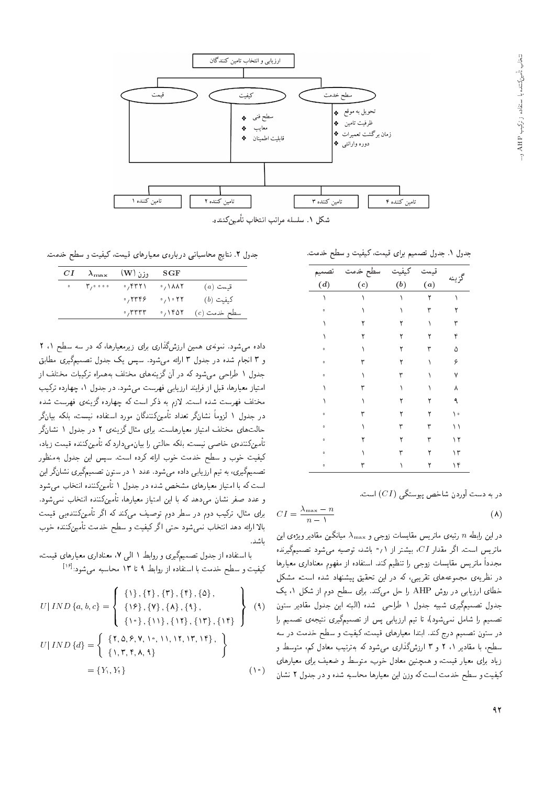

شکل ۱. سلسله مراتب انتخاب تأمین کننده.

جدول ١. جدول تصميم براي قيمت، كيفيت و سطح خدمت.

| تصميم                | سطح خدمت | كيفيت | قيمه |         |
|----------------------|----------|-------|------|---------|
| (d)                  | (c)      | (b)   | (a)  | گزينه   |
|                      |          |       | ۲    |         |
| $\circ$              |          |       |      |         |
|                      |          |       |      |         |
|                      | ٢        |       |      | ۴       |
| $\ddot{\mathbf{0}}$  |          |       | ٣    | ۵       |
| $\ddot{\phantom{0}}$ | ٣        |       |      | ۶       |
| $\circ$              |          |       |      |         |
|                      |          |       |      |         |
|                      |          |       |      |         |
| $\bullet$            |          |       |      | $\circ$ |
| $\mathbf{o}$         |          |       | ٣    |         |
| $\mathbf{o}$         |          |       | ٣    | ۱۲      |
| $\circ$              |          |       |      | ۱۳      |
| $\circ$              |          |       | ٢    | ۱۴      |

در به دست آوردن شاخص پیوستگی  $(CI)$  است.

$$
CI = \frac{\lambda_{\text{max}} - n}{n - \lambda} \tag{A}
$$

در این رابطه n رتبهی ماتریس مقایسات زوجی و  $\lambda_{\rm max}$  میانگین مقادیر ویژهی این ماتریس است. اگر مقدار CI، بیشتر از ۰٫۱ باشد، توصیه می شود تصمیمگیرنده مجدداً ماتريس مقايسات زوجي را تنظيم كند. استفاده از مفهوم معنادارى معيارها در نظریهی مجموعههای تقریبی، که در این تحقیق پیشنهاد شده است، مشکل خطای ارزیابی در روش AHP را حل میکند. برای سطح دوم از شکل ۱، یک جدول تصميم گيري شبيه جدول ١ طراحي شده (البته اين جدول مقادير ستون تصمیم را شامل نمیشود)، تا تیم ارزیابی پس از تصمیمگیری نتیجهی تصمیم را در ستون تصمیم درج کند. ابتدا معیارهای قیمت، کیفیت و سطح خدمت در سه سطح، با مقادیر ۱ ، ۲ و ۳ ارزشگذاری میشود که بهترتیب معادل کم، متوسط و زیاد برای معیار قیمت، و همچنین معادل خوب، متوسط و ضعیف برای معیارهای کیفیت و سطح خدمت است که وزن این معیارها محاسبه شده و در جدول ۲ نشان

جدول ٢. نتايج محاسباتي دربارهي معيارهاي قيمت، كيفيت و سطح خدمت.

| CI | $\lambda_{\text{max}}$                                         | وزن (W)        | SGF                                   |                                             |
|----|----------------------------------------------------------------|----------------|---------------------------------------|---------------------------------------------|
|    | $\circ$ $\qquad \qquad \mathbf{r}_{1} \circ \circ \circ \circ$ | $\cdot$ , ۴۳۲۱ | $\rightarrow$ \\\\\\                  | $(a)$ قسمت                                  |
|    |                                                                |                | $\cdot$ , ۲۳۴۶ $\cdot$ , ۱ $\cdot$ ۲۲ | کیفیت (b)                                   |
|    |                                                                |                |                                       | $\cdot$ ,۳۳۳۳ $\cdot$ , ۱۴۵۲ $(c)$ سطح خدمت |

داده میشود. نمونهی همین ارزشگذاری برای زیرمعیارها، که در سه سطح ۱، ۲ و ۳ انجام شده در جدول ۳ ارائه میشود. سپس یک جدول تصمیمگیری مطابق جدول ۱ طراحی می شود که در آن گزینههای مختلف به همراه ترکیبات مختلف از امتیاز معیارها، قبل از فرایند ارزیابی فهرست میشود. در جدول ۱، چهارده ترکیب مختلف فهرست شده است. لازم به ذکر است که چهارده گزینهی فهرست شده در جدول ۱ لزوماً نشانگر تعداد تأمینکنندگان مورد استفاده نیست، بلکه بیانگر حالتهای مختلف امتیاز معیارهاست. برای مثال گزینهی ۲ در جدول ۱ نشانگر تأمینکنندهی خاصی نیست، بلکه حالتی را بیان.یkدارد که تأمینکننده قیمت زیاد، کیفیت خوب و سطح خدمت خوب ارائه کرده است. سپس این جدول بهمنظور تصمیمگیری، به تیم ارزیابی داده میشود. عدد ۱ در ستون تصمیمگیری نشانگر این است که با امتیاز معیارهای مشخص شده در جدول ۱ تأمینکننده انتخاب می شود و عدد صفر نشان مىدهد كه با اين امتياز معيارها، تأمينكننده انتخاب نمىشود. برای مثال، ترکیب دوم در سطر دوم توصیف میکند که اگر تأمینکنندهیی قیمت بالا ارائه دهد انتخاب نمىشود حتى اگر كيفيت و سطح خدمت تأمينكننده خوب ،اشد.

با استفاده از جدول تصمیمگیری و روابط ۱ الی ۷، معناداری معیارهای قیمت، كيفيت و سطح خدمت با استفاده از روابط ٩ تا ١٣ محاسبه مي شود: [1۶]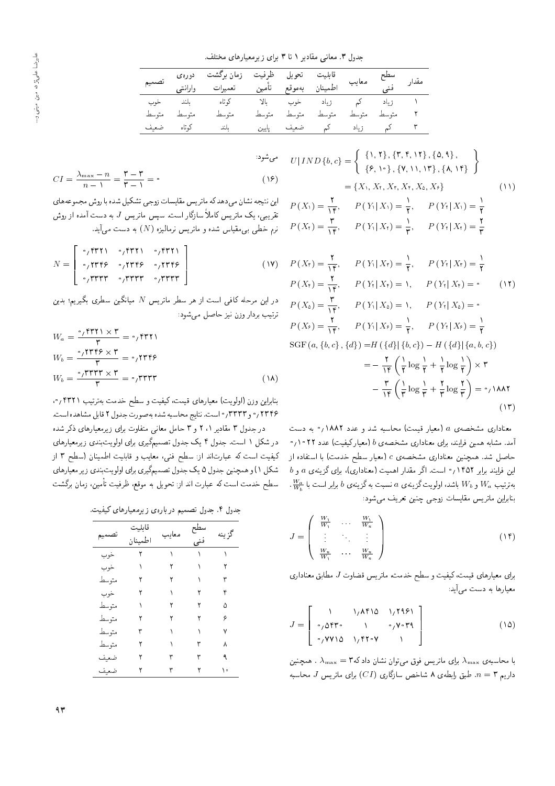جدول ٣. معانى مقادير ١ تا ٣ براى زيرمعيارهاى مختلف.

|             | قابلیت تحویل ظرفیت زمان برگشت دورهی<br>اطمینان بهموقع تأمین تعمیرات وارانتی تصمیم |  |                                 |  |  |
|-------------|-----------------------------------------------------------------------------------|--|---------------------------------|--|--|
|             | <mark>۱</mark> زیاد کم زیاد خوب بالا کوتاه بلند خوب                               |  |                                 |  |  |
| متوسط متوسط | متمسط                                                                             |  | ٢ متوسط متوسط متوسط متوسط متوسط |  |  |
| كوتاه ضعيف  | ۳ کم زیاد کم ضعیف پایین بلند                                                      |  |                                 |  |  |

$$
CI = \frac{\lambda_{\max} - n}{n - 1} = \frac{\mathbf{r} - \mathbf{r}}{\mathbf{r} - 1} = \mathbf{0}
$$
\n(18)

این سیجه سدان می دهد که ما بر یس مقایسات زوجی سدگیل سده با روس مجموعههای<br>--تقریبی، یک ماتریس کاملاً سازگار است. سپس ماتریس J به دست آمده از روش  $\;$ زم خطی بی مقیاس شده و ماتریس نرمالیزه  $(N)$  به دست می $\;$ ید.

$$
N = \left[ \begin{array}{ccc} \circ_{f} \text{FT1} & \circ_{f} \text{FT1} & \circ_{f} \text{FT1} \\ \circ_{f} \text{TTF2} & \circ_{f} \text{TTF3} & \circ_{f} \text{TTF2} \\ \circ_{f} \text{TTTT} & \circ_{f} \text{TTTT} & \circ_{f} \text{TTTT} \end{array} \right] \tag{1V}
$$

 $\epsilon$ در این مرحله کافی است از هر سطر ماتریس  $N$  میانگین سطری بگیریم؛ بدین ترتيب بردار وزن نيز حاصل مى شود:

$$
W_a = \frac{\sigma_f \text{FT11} \times \text{F}}{\text{F}} = \sigma_f \text{FT11}
$$
  
\n
$$
W_b = \frac{\sigma_f \text{TTF} \times \text{F}}{\text{F}} = \sigma_f \text{TTF} \text{F}
$$
  
\n
$$
W_b = \frac{\sigma_f \text{TTT} \times \text{F}}{\text{F}} = \sigma_f \text{TTT} \tag{1A}
$$

بنابراین وزن (اولویت) معیارهای فیمت، نیفیت و سطح حدمت به رست ۲۰۱۱۱<br>موسویل - سوسوس - المی سالمی المیمن ٢٣٣۶م و ٣٣٣٣ / واست. نتايج محاسبه شده به صورت جدول ٢ قابل مشاهده است. در جدول ۳ مقادیر ۲ ، ۲ و ۳ حامل معانی متفاوت برای زیرمعیارهای ذکر شده

در شکل ۱ است. جدول ۴ یک جدول تصمیمگیری برای اولویتبندی زیرمعیارهای کیفیت است که عبارتاند از: سطح فنی، معایب و قابلیت اطمینان (سطح ۳ از شکل ۱) و همچنین جدول ۵ یک جدول تصمیمگیری برای اولویتبندی زیر معیارهای سطح خدمت است که عبارت اند از: تحویل به موقع، ظرفیت تأمین، زمان برگشت

جدول ۴. جدول تصمیم دربارهی زیرمعیارهای کیفیت.

| تصمير | قابليت<br>اطمينان | معان | فنی | گز ينه |
|-------|-------------------|------|-----|--------|
| خوب   | ٢                 |      |     |        |
| خوب   |                   |      |     |        |
| متوسط |                   |      |     | ٣      |
| خوب   |                   |      |     | ۴      |
| متوسط |                   |      |     | ۵      |
| متوسط |                   |      |     | ۶      |
| متوسط |                   |      |     | ٧      |
| متوسط |                   |      |     | ٨      |
| ضعيف  |                   |      |     |        |
| ضعيف  |                   |      |     | o      |

$$
U|IND{b, c} = \begin{cases} \{1, 1\}, \{1, 1\}, \{0, 4\}, \\ \{2, 1\}, \{1, 1\}, \{2, 4\}\end{cases}
$$
  
\n
$$
= \{X_1, X_1, X_1, X_1, X_2, X_3\}
$$
  
\n
$$
= \{X_1, X_1, X_1, X_2, X_3\}
$$
  
\n
$$
P(X_1) = \frac{1}{11}, \quad P(Y_1|X_1) = \frac{1}{11}, \quad P(Y_1|X_1) = \frac{1}{11}
$$
  
\n
$$
P(X_1) = \frac{1}{11}, \quad P(Y_1|X_1) = \frac{1}{11}, \quad P(Y_1|X_1) = \frac{1}{11}
$$
  
\n
$$
P(X_2) = \frac{1}{11}, \quad P(Y_1|X_1) = \frac{1}{11}, \quad P(Y_1|X_1) = \frac{1}{11}
$$
  
\n
$$
P(X_2) = \frac{1}{11}, \quad P(Y_1|X_1) = 1, \quad P(Y_1|X_1) = 0
$$
  
\n
$$
P(X_2) = \frac{1}{11}, \quad P(Y_2|X_2) = 1, \quad P(Y_1|X_2) = 0
$$
  
\n
$$
P(X_3) = \frac{1}{11}, \quad P(Y_3|X_3) = 0, \quad P(Y_4|X_3) = 0
$$
 (11)

$$
P(X_{\delta}) = \frac{\mathsf{T}}{\mathsf{T}}, \qquad P(Y_{\mathsf{T}} | X_{\delta}) = \mathsf{I}, \qquad P(Y_{\mathsf{T}} | X_{\delta}) = \mathsf{I}
$$
\n
$$
P(X_{\delta}) = \frac{\mathsf{T}}{\mathsf{T}}, \qquad P(Y_{\mathsf{T}} | X_{\delta}) = \frac{\mathsf{I}}{\mathsf{T}}, \qquad P(Y_{\mathsf{T}} | X_{\delta}) = \frac{\mathsf{I}}{\mathsf{T}}
$$
\n
$$
\text{SGF}(a, \{b, c\}, \{d\}) = H(\{d\} | \{b, c\}) - H(\{d\} | \{a, b, c\})
$$
\n
$$
= -\frac{\mathsf{T}}{\mathsf{T}} \left(\frac{\mathsf{I}}{\mathsf{T}} \log \frac{\mathsf{I}}{\mathsf{T}} + \frac{\mathsf{I}}{\mathsf{T}} \log \frac{\mathsf{I}}{\mathsf{T}}\right) \times \mathsf{T}
$$
\n
$$
- \frac{\mathsf{T}}{\mathsf{T}} \left(\frac{\mathsf{I}}{\mathsf{T}} \log \frac{\mathsf{I}}{\mathsf{T}} + \frac{\mathsf{T}}{\mathsf{T}} \log \frac{\mathsf{T}}{\mathsf{T}}\right) = \mathsf{I}(\mathsf{A}\mathsf{A}\mathsf{A}\mathsf{T})
$$
\n
$$
(1\mathsf{T})
$$

معناداری مشخصهی a (معیار قیمت) محاسبه شد و عدد ۱۸۸۲/۰ به دست 0/۱۰۲۲ مشابه همین فرایند، برای معناداری مشخصهی  $b$  (معیارکیفیت) عدد ۱۰۲۲ حاصل شد. همچنین معناداری مشخصه $c$  (معیار سطح خدمت) با استفاده از  $b$  این فرایند برابر ۱۴۵۲ $\gamma$  است. اگر مقدار اهمیت (معناداری)، برای گزینهی  $a$  و "  $\frac{W_a}{W_b}$  به ترتیب  $W_a$  و  $W_b$  باشد، اولویت گزینهی ۵ نسبت به گزینهی  $b$  برابر است با  $W_a$ بنابراین ماتریس مقایسات زوجی چنین تعریف می شود:

$$
J = \left(\begin{array}{ccc} \frac{W_1}{W_1} & \cdots & \frac{W_1}{W_n} \\ \vdots & \ddots & \vdots \\ \frac{W_n}{W_1} & \cdots & \frac{W_n}{W_n} \end{array}\right) \tag{1f}
$$

برای معیارهای قیمت، کیفیت و سطح خدمت، ماتریس قضاوت J مطابق معناداری معیارها به دست میآید:

$$
J = \left[ \begin{array}{cccc} 1 & 1/\lambda f 10 & 1/\lambda f 451 \\ 0 & 0 & 0 & 0 \\ 0 & 0 & 0 & 1/\lambda f 10 & 0 \\ 0 & 0 & 0 & 0 & 0 \\ 0 & 0 & 0 & 0 & 0 \end{array} \right]
$$
 (10)

با محاسبه $\lambda_{\max}=\lambda_{\max}=1$  برای ماتریس فوق میتوان نشان دادکه  $\lambda_{\max}$  . همچنین  $J$  داریم ۳ $\eta = n-1$  طبق رابطه $\delta$  شاخص سازگاری  $(CI)$  برای ماتریس  $J$  محاسبه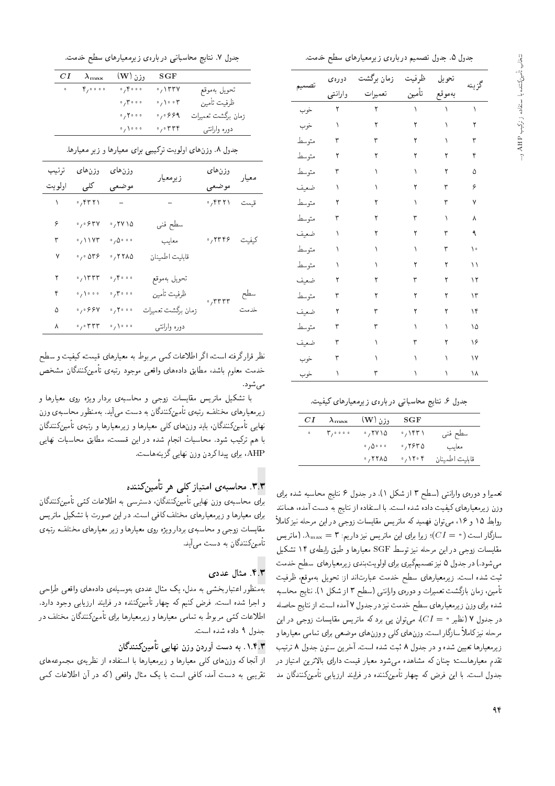جدول ۵. جدول تصميم دربارهى زيرمعيارهاى سطح خدمت.

| تصميم | دورەى        | زمان برگشت | ظرفيت | تحويل                                     | گزينه |
|-------|--------------|------------|-------|-------------------------------------------|-------|
|       | وارانتي      | تعميرات    | تأمين | بەموقع                                    |       |
| خوب   | $\mathbf{r}$ | ٢          |       | $\Delta \Delta \sim 10^{-1}$ M $_{\odot}$ | ١     |
| خوب   | $\setminus$  | $\Upsilon$ | ٢     | $\lambda_{\rm{eff}}$                      | ٢     |
| متوسط | ٣            | ٣          | ٢     | ١                                         | ٣     |
| متوسط | ٢            | ٢          | ٢     | ٢                                         | ۴     |
| متوسط | ٣            | ١          | ١     | ٢                                         | ۵     |
| ضعيف  | ١            | ١          | ٢     | ٣                                         | ۶     |
| متوسط | ٢            | ٢          | ١     | ٣                                         | ٧     |
| متوسط | ٣            | ٢          | ٣     | ١                                         | ٨     |
| ضعيف  | ١            | ٢          | ٢     | ٣                                         | ٩     |
| متوسط | ١            | ١          | ١     | ٣                                         | ۱۰    |
| متوسط | ١            | ١          | ٢     | ٢                                         | ۱۱    |
| ضعيف  | ٢            | ٢          | ٣     | ٢                                         | ۱۲    |
| متوسط | ٣            | ٢          | ٢     | ٢                                         | ۱۳    |
| ضعيف  | ٢            | ٣          | ٢     | ٢                                         | ۱۴    |
| متوسط | ٣            | ٣          | ١     | ١                                         | ۱۵    |
| ضعيف  | ٣            | ١          | ٣     | ٢                                         | ۱۶    |
| خوب   | ٣            | ١          | ١     | ١                                         | ١٧    |
| خوب   | ١            | ٣          | ١     | ١                                         | ۱۸    |

جدول ۷. نتایج محاسباتی دربارهی زیرمعیارهای سطح خدمت.

| CІ         | $\lambda_{\text{max}}$                   | وزن (W ا                                       | SGF                                    |                    |
|------------|------------------------------------------|------------------------------------------------|----------------------------------------|--------------------|
| $0<\infty$ | $\mathfrak{p}_1 \circ \circ \circ \circ$ | 0,000                                          | .777V                                  | تحويل بهموقع       |
|            |                                          | $\circ$ , $\mathbf{v}$ $\circ$ $\circ$         | $\circ$ , $\setminus \circ \circ \tau$ | ظرفيت تأمين        |
|            |                                          | 0,7000                                         | $\circ$ , $\circ$ $\circ$ 9 9          | زمان برگشت تعمیرات |
|            |                                          | $\circ$ , $\backslash$ $\circ$ $\circ$ $\circ$ | $\cdot$ , $\cdot$ ۳۳۴                  | دوره وارانتبي      |
|            |                                          |                                                |                                        |                    |

جدول ۸. وزنهای اولویت ترکیبی برای معیارها و زیر معیارها.

| ترتيب     | وزنهای                              | وزنهای                                   | زيرمعيار           | وزن های                                              | معيار |
|-----------|-------------------------------------|------------------------------------------|--------------------|------------------------------------------------------|-------|
| اولويت    | کلی                                 | موضعى                                    |                    | موضعي                                                |       |
| $\lambda$ | ٬٫۴۳۲۱                              | $\equiv$ .                               |                    | $\cdot$ , $\uparrow$ r $\uparrow$                    | قيمت  |
| ۶         | $\cdot$ , $\cdot$ $\gamma$ $\gamma$ | ۰٬۲۷۱۵                                   | سطح فني            |                                                      |       |
| ٣         | $\cdot$ / $\vee$ $\vee$             | $\phi$ / $\Delta \phi$ , $\phi$          | معايب              | ٬٫۲۳۴۶                                               | كيفيت |
| ٧         | $\cdot$ , $\cdot$ or $\circ$        | ٬٬۲۲۸۵                                   | قابليت اطمينان     |                                                      |       |
| ۲         | $\cdot$ , $\lambda$ ۳۳۳             | $\cdot$ , $\cdot$ $\cdot$ $\cdot$        | تحويل بهموقع       |                                                      |       |
| ۴         | 0,000                               | $\cdot$ , $\mathsf{r} \cdot \cdot \cdot$ | ظرفيت تأمين        | $\cdot$ , $\mathsf{r}\mathsf{r}\mathsf{r}\mathsf{r}$ | سطح   |
| ۵         | $\cdot$ , $\cdot$ ۶۶۷               | $\sigma$ / $\mathbf{Y}$                  | زمان برگشت تعميرات |                                                      | خدمت  |
| ٨         | $\cdot$ , $\cdot$ rrr               | $\mathbb{F}_7$ ) $\mathbb{F}_2$          | دوره وارانتبي      |                                                      |       |
|           |                                     |                                          |                    |                                                      |       |

نظر قرار گرفته است، اگر اطلاعات کمی مربوط به معیارهای قیمت، کیفیت و سطح خدمت معلوم باشد، مطابق دادههای واقعی موجود رتبهی تأمینکنندگان مشخص مے رشود.

با تشکیل ماتریس مقایسات زوجی و محاسبهی بردار ویژه روی معیارها و ز یرمعیارهای مختلف، رتبهی تأمینکنندگان به دست می]ید. بهمنظور محاسبهی وزن نهای<sub>ج</sub> تأمینکنندگان، باید وزنهای کل<sub>دی</sub> معیارها و زیرمعیارها و رتبهی تأمینکنندگان با هم ترکیب شود. محاسبات انجام شده در این قسمت، مطابق محاسبات نهایی AHP، برای پیدا کردن وزن نهایی گزینههاست.

# ۳.۳. محاسبهى امتياز كلى هر<sub>ي</sub> تأمينكننده

برای محاسبهی وزن نهایی تامین(شندان، دسترسی به اطلاعات دتمی تامین(شندان<br>ماهمین العام است میدا های مختلف کافی است در این مستقبل تشکیل باتید برای معیارها و زیرمعیارهای مختلف کافی است. در این صورت با تشکیل ماتریس مقايسات زوجي و محاسبهي بردار ويژه روي معيارها و زير معيارهاي مختلف، رتبهي تأمینکنندگان به دست میآید.

#### ۴.۳. مثال عدد*ی*

بهمنظور اعتبار بخشبي به مدل، يک مثال عددي بهوسيلهى دادههاى واقعى طراحى و اجرا شده است. فرض کنیم که چهار تأمینکننده در فرایند ارزیابی وجود دارد. اطلاعات نمّی مربوط به تمامی معیارها و زیرمعیارها برای تامین(منندنان مختلف در<br>۱۰۱۰ - فرداد شدید است جدول ٩ داده شده است.

## ۱.۴.۳. به دست آوردن وزن نهایی تأمینکنندگان<br>.

از أنجا كه وزنهاى كلي معيارها و زيرمعيارها با استفاده از نظريهى مجموعههاى تقریبی به دست آمد، کافی است با یک مثال واقعی (که در آن اطلاعات کمی جدول ۶. نتایج محاسباتی دربارهی زیرمعیارهای کیفیت.

| CI | $\lambda_{\text{max}}$                                         | $(\mathbf{W})$ وزن                   | SGF                                                  |                |
|----|----------------------------------------------------------------|--------------------------------------|------------------------------------------------------|----------------|
|    | $\circ$ $\qquad \qquad \mathbf{r}_{1} \circ \circ \circ \circ$ | .7410                                | $\cdot$ , ۱۴۳۱                                       | سطح فني        |
|    |                                                                | $\circ$ , $\Delta \circ \circ \circ$ | ٬٬۲۶۳۵                                               | معايب          |
|    |                                                                | .77710                               | $\circ$ , $\setminus$ $\setminus$ $\circ$ $\uparrow$ | قابليت اطمينان |

تعميرا و دورهى وارانتي (سطح ٣ از شكل ١). در جدول ۶ نتايج محاسبه شده براى وزن زیرمعیارهای کیفیت داده شده است. با استفاده از نتایج به دست آمده، همانند روابط ۱۵ و ۱۶، می توان فهمید که ماتریس مقایسات زوجی در این مرحله نیزکاملاً سازگار است ( $I = (C I = 0)$ ؛ زیرا برای این ماتریس نیز داریم: ۳  $\lambda_{\max} = \lambda_{\max}$ . (ماتریس مقايسات زوجي در اين مرحله نيز توسط SGF معيارها و طبق رابطهي ١۴ تشكيل می شود.) در جدول ۵ نیز تصمیمگیری برای اولویتبندی زیرمعیارهای سطح خدمت ثبت شده است. زیرمعیارهای سطح خدمت عبارتاند از: تحویل بهموقع، ظرفیت تأمین، زمان بازگشت تعمیرات و دورهی وارانتی (سطح ۳ از شکل ۱). نتایج محاسبه شده برای وزن ز یرمعیارهای سطح خدمت نیز در جدول ۷ آمده است. از نتایج حاصله در جدول ۷ (نظیر ° $I=Cl$ )، می توان پی برد که ماتریس مقایسات زوجی در این مرحله نیز کاملاً سازگار است. وزن های کلی و وزن های موضعی برای تمامی معیارها و زیرمعیارها تعیین شده و در جدول ۸ ثبت شده است. آخرین ستون جدول ۸ ترتیب تقدم معیارهاست؛ چنان که مشاهده میشود معیار قیمت دارای بالاترین امتیاز در جدول است. با این فرض که چهار تأمینکننده در فرایند ارزیابی تأمینکنندگان مد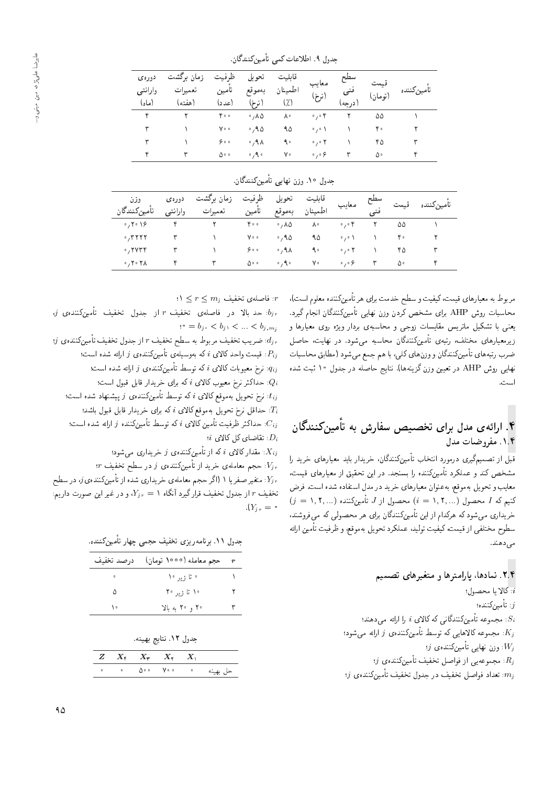| دورەي<br>وارانتي<br>(ماه) | زمان برگشت<br>تعميرات<br>(هفته) | ظرفيت<br>تامين<br>(عدد) | تحويل<br>بەموقع<br>(نرخ) | قابليت<br>طمينان<br>(7) | معايب<br>(نرخ)             | سطح<br>( در حه) | (تومان) | تأمينكننده |
|---------------------------|---------------------------------|-------------------------|--------------------------|-------------------------|----------------------------|-----------------|---------|------------|
| ۴                         |                                 | 400                     | $\cdot$ , ۸۵             | ٨٠                      | $\circ$ , $\circ$ $\circ$  |                 | ۵۵      |            |
| ۳                         |                                 | Vo o                    | ۰٬۹۵                     | ۹۵                      | $\circ$ , $\circ$ $\wedge$ |                 | ۴۰      |            |
| ٣                         |                                 | ه ه ۶                   | 0,9                      | ٩۰                      | 0,0.7                      |                 | ۴۵      | ٣          |
| ۴                         |                                 | ەە∆                     | 0,90                     | ٧۰                      | $\circ$ , $\circ$ $\circ$  |                 | ۵۰      | ۴          |

جدول ۹. اطلاعات کمی تأمینکنندگان.

| جدول ۱۰. وزن نهایی تأمینکنندگان. |  |  |
|----------------------------------|--|--|
|                                  |  |  |

| وزن<br>تأمين كنندگان                                 | دورەي<br>وارانتي | زمان ىرگشت<br>تعميرات | ظرفيت<br>ء<br>تأمين | تحويل<br>بەموقع           | قابليت<br>طمينان | معايب                     |   |    | تأمدن كننده |
|------------------------------------------------------|------------------|-----------------------|---------------------|---------------------------|------------------|---------------------------|---|----|-------------|
| $\circ$ , $\mathsf{Y} \circ \mathsf{Y} \mathsf{P}$   |                  |                       | 400                 | $\cdot$ , $\wedge \wedge$ | ٨۰               | 0,0                       |   | ۵۵ |             |
| $\cdot$ , $\mathsf{r}\mathsf{r}\mathsf{r}\mathsf{r}$ |                  |                       | Vo o                | ٬٫۹۵                      | ۹۵               | $\circ$ , $\circ$ \       |   | ۴۰ |             |
| $\cdot$ , ۲۷۳۴                                       |                  |                       | 900                 | $0,9$ $\wedge$            | ۹۰               | 0,0                       |   | ۴۵ |             |
| $\cdot$ , ۲ $\cdot$ ۲۸                               |                  |                       | ∘ه                  | $\circ$ , $\uparrow$      | ٧٠               | $\circ$ , $\circ$ $\circ$ | ٣ | ۵۰ |             |

مربوط به معيارهاي قيمت، كيفيت و سطح خدمت براي هر تأمينكننده معلوم است). محاسبات روش AHP براى مشخص كردن وزن نهايى تأمينكنندگان انجام گيرد. یعنی با تشکیل ماتریس مقایسات زوجی و محاسبهی بردار ویژه روی معیارها و زیرمعیارهای مختلف، رتبهی تأمینکنندگان محاسبه میشود. در نهایت، حاصل ضرب رتبههای تأمینکنندگان و وزنهای کلی، با هم جمع میشود (مطابق محاسبات نهایی روش AHP در تعیین وزن گزینهها). نتایج حاصله در جدول ۱۰ ثبت شده است.

# ۴. ارائهی مدل برای تخصیص سفارش به تأمینکنندگان<br>\* ۰۱.۴. مف<sub>رو</sub>ضیات مدل

قبل از تصمیمگیری درمورد انتخاب تأمینکنندگان، خریدار باید معیارهای خرید ر<u>ا</u> مشخص کند و عملکرد تأمینکننده را بسنجد. در این تحقیق از معیارهای قیمت، معايب و تحويل بهموقع، بهعنوان معيارهاى خريد در مدل استفاده شده است. فرض  $(j = \texttt{1}, \texttt{1}, \dots)$  كنيم كه  $I$  محصول  $(i = \texttt{1}, \texttt{1}, \dots)$  محصول از  $J$  تأمين خریداری می،شود که هرکدام از این تأمینکنندگان برای هر محصولی که می،فروشند، سطوح مختلفي از قيمت، كيفيت توليد، عملكرد تحويل بهموقع، و ظرفيت تأمين ارائه می دهند.

- ۲.۴. نمادها، پارامترها و متغیرهای تصمیم  $b$ الا يا محصول: : تأمينكننده؛  $j$ : مجموعه تأمینکنندگانی که کالای  $i$  را ارائه می دهند؛ : مجموعه كالاهايي كه توسط تأمينكنندهى  $j$  ارائه مى شود؛
	- $j$  وزن نهایی تأمینکننده $y$  :  $W_j$  $\langle j \rangle$ : مجموعه یی از فواصل تخفیف تأمینکننده $R_j$
- $\left\vert j\right\rangle$  : تعداد فواصل تخفيف در جدول تخفيف تأمينكنندهى  $m_j$

 $\forall 1 \leq r \leq m_j$  : فاصلهى تخفيف  $r$ 

 $j$  : حد بالا در فاصلهى تخفيف r از جدول تخفيف تأمينكنندهى. $b_{jr}$  $\psi^0 = b_j, \langle b_j, \langle \dots \langle b_j, m_j \rangle \rangle$ 

 $\left\langle j\right\rangle$  : ضريب تخفيف مربوط به سطح تخفيف  $r$  از جدول تخفيف تأمين $d_{jr}$ : قیمت واحد کالای  $i$  که بەوسیلەی تأمینکنندەی  $j$  ارائه شده است؛  $P_{ij}$ : نرخ معیوبات کالای i که توسط تأمینکننده $j$  وارائه شده است:  $q_{ij}$ : حداکثر نرخ معیوب کالای  $i$  که برای خریدار قابل قبول است؛  $Q_i$ : نرخ تحویل بهموقع کالای i که توسط تأمینکننده ی ز پیشنهاد شده است؛  $P_i$ حداقل نرخ تحویل بهموقع کالای  $i$  که برای خریدار قابل قبول باشد:  $T_i$ : حداکثر ظرفیت تأمین کالای  $i$  که توسط تأمینکننده  $j$  ارائه شده است؛  $i$  : نقاضای کل کالای  $D_i$ 

: مقدار کالای  $i$  که از تأمینکننده $j$  و خریداری میشود:  $X_{ij}$ 

: حجم معاملهى خريد از تأمينكنندهى j در سطح تخفيف  $V_{jr}$ ن متغیر صفر یا ۱ (اگر حجم معاملهی خریداری شده از تأمینکنندهی $j$ ، در سطح  $Y_{jr}$ تخفیف r از جدول تخفیف قرارگیرد آنگاه  $Y_{j\,r}=N$ ، و در غیر این صورت داریم:  $\Lambda(Y_{ir} = \circ$ 

| جدول ۱۱. برنامه٫ریزی تخفیف حجمی چهار تأمینکننده. |  |  |
|--------------------------------------------------|--|--|
|--------------------------------------------------|--|--|

| درصد تخفيف | حجم معامله (١٥٥٥ تومان)                            | $\boldsymbol{r}$ |
|------------|----------------------------------------------------|------------------|
| $\circ$    | ∘ تا زیر ۱۰                                        |                  |
|            | $Y^{\circ}$ , $\psi$ ; $\mathcal{L}$ $\mathcal{L}$ |                  |
| ١٠         | ۲۰ و ۲۰ به بالا                                    |                  |

|  |  |  | جدول ١٢. نتايج بهينه. |
|--|--|--|-----------------------|
|--|--|--|-----------------------|

|          |                                   | $Z = X_t + X_r + X_t + X$ |           |  |
|----------|-----------------------------------|---------------------------|-----------|--|
| حل بهينه | <b>Contract Contract Contract</b> |                           | . . A. V. |  |
|          |                                   |                           |           |  |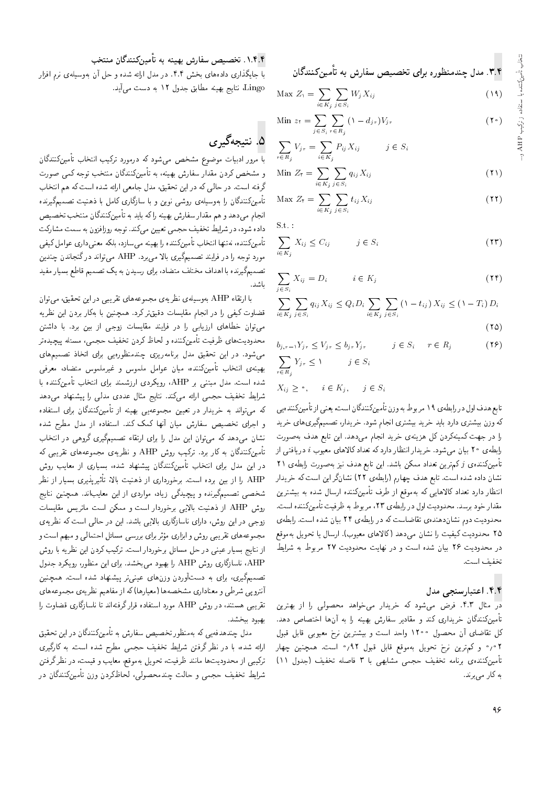۳.۴. مدل چندمنظوره برای تخصیص سفارش به تأمین کنندگان

$$
\text{Max } Z_i = \sum_{i \in K_j} \sum_{j \in S_i} W_j X_{ij} \tag{14}
$$

Min 
$$
z_r = \sum_{j \in S_i} \sum_{r \in R_j} (1 - d_{jr}) V_{jr}
$$
 (7°)

$$
\sum_{r \in R_j} V_{jr} = \sum_{i \in K_j} P_{ij} X_{ij} \qquad j \in S_i
$$

$$
\text{Min } Z_{\mathfrak{r}} = \sum_{i \in K_j} \sum_{j \in S_i} q_{ij} X_{ij} \tag{1}
$$

$$
\text{Max } Z_{\mathfrak{k}} = \sum_{i \in K_j} \sum_{j \in S_i} t_{ij} X_{ij} \tag{17}
$$

 $S.t.$ 

$$
\sum_{i \in K_j} X_{ij} \le C_{ij} \qquad j \in S_i \tag{17}
$$

$$
\sum_{j \in S_i} X_{ij} = D_i \qquad i \in K_j \tag{14}
$$

$$
\sum_{i \in K_j} \sum_{j \in S_i} q_{ij} X_{ij} \le Q_i D_i \sum_{i \in K_j} \sum_{j \in S_i} \left(1 - t_{ij}\right) X_{ij} \le \left(1 - T_i\right) D_i
$$
\n
$$
(10)
$$

$$
b_{j,r-1}Y_{jr} \le V_{jr} \le b_{jr}Y_{jr} \qquad j \in S_i \qquad r \in R_j \qquad (\text{Y2})
$$
  

$$
\sum_{r \in R_j} Y_{jr} \le V \qquad j \in S_i
$$

$$
X_{ij} \ge \circ, \quad i \in K_j, \quad j \in S_i
$$

تابع هدف اول در رابطه ی ۱۹ مربوط به وزن تأمین کنندگان است، یعنی از تأمین کننده یی که وزن بیشتری دارد باید خرید بیشتری انجام شود. خریدار، تصمیمگیری های خرید را در جهت کمینهکردن کل هزینهی خرید انجام می4هد. این تابع هدف بهصورت رابطهی ۲۰ بیان میشود. خریدار انتظار دارد که تعداد کالاهای معیوب i دریافتی از تأمینکننده $j$  کمترین تعداد ممکن باشد. این تابع هدف نیز بهصورت رابطه $j$  (۲ نشان داده شده است. تابع هدف چهارم (رابطهی ۲۲) نشانگر این است که خریدار انتظار دارد تعداد کالاهایی که بهموقع از طرف تأمینکننده ارسال شده به بیشترین مقدار خود برسد. محدودیت اول در رابطهی ۲۳، مربوط به ظرفیت تأمین کننده است. محدودیت دوم نشاندهندهی تقاضاست که در رابطهی ۲۴ بیان شده است. رابطهی ۲۵ محدودیت کیفیت را نشان میدهد (کالاهای معیوب). ارسال یا تحویل بهموقع در محدودیت ۲۶ بیان شده است و در نهایت محدودیت ۲۷ مربوط به شرایط تخفيف است.

#### ۴.۴. اعتبارسنجي مدل

در مثال ۴.۳. فرض میشود که خریدار می خواهد محصولی را از بهترین تأمینکنندگان خریداری کند و مقادیر سفارش بهینه را به آنها اختصاص دهد. کل تقاضای آن محصول ۱۲۰۰ واحد است و بیشترین نرخ معیوبی قابل قبول ۰٫۴ و کمترین نرخ تحویل بهموقع قابل قبول ۹۲٫<sup>ه</sup> است. همچنین چهار تأمينكننده يرنامه تخفيف حجمي مشابهي با ٣ فاصله تخفيف (جدول ١١) به کار می برند.

#### ۰۱.۴.۴ تخصیص سفارش بهینه به تأمین کنندگان منتخب

.<br>با جایگذاری دادههای بخش ۴.۴. در مدل ارائه شده و حل آن بهوسیلهی نرم افزار Lingo، نتايج بهينه مطابق جدول ١٢ به دست مي آيد.

# ۵. نتيجهگېږي

با مرور ادبیات موضوع مشخص مه شود که درمورد ترکیب انتخاب تأمینکنندگان و مشخص کردن مقدار سفارش بهینه، به تأمینکنندگان منتخب توجه کمی صورت گرفته است. در حالی که در این تحقیق، مدل جامعی ارائه شده است که هم انتخاب .<br>تأمینکنندگان را بهوسیلهی روشی نوین و با سازگاری کامل با ذهنیت تصمیمگیرنده انجام میدهد و هم مقدار سفارش بهینه راکه باید به تأمینکنندگان منتخب تخصیص داده شود، در شرایط تخفیف حجمی تعیین میکند. توجه روزافزون به سمت مشارکت تأمینکننده، نهتنها انتخاب تأمینکننده را بهینه می سازد، بلکه معنی داری عوامل کیفی مورد توجه را در فرایند تصمیمگیری بالا می,رد. AHP می,تواند درگنجاندن چندین تصمیمگیرنده با اهداف مختلف متضاد، برای رسیدن به یک تصمیم قاطع بسیار مفید

با ارتقاء AHP بهوسیلهی نظریهی مجموعههای تقریبی در این تحقیق، می توان قضاوت کیفی را در انجام مقایسات دقیقترکرد. همچنین با بهکار بردن این نظریه می توان خطاهای ارزیابی را در فرایند مقایسات زوجی از بین برد. با داشتن محدوديتهاى ظرفيت تأمينكننده و لحاظ كردن تخفيف حجمى، مسئله بيچيدهتر می شود. در این تحقیق مدل برنامهریزی چندمنظوره پی برای اتخاذ تصمیمهای بهینهی انتخاب تأمینکننده، میان عوامل ملموس و غیرملموس متضاد، معرفی شده است. مدل مبتنبی بر AHP، رویکردی ارزشمند برای انتخاب تأمینکننده با شرایط تخفیف حجمی ارائه میکند. نتایج مثال عددی مدلی را پیشنهاد میردهد که میتواند به خریدار در تعیین مجموعهیی بهینه از تأمینکنندگان برای استفاده و اجرای تخصیص سفارش میان آنها کمک کند. استفاده از مدل مطرح شده .<br>نشان میدهد که می توان این مدل را برای ارتقاء تصمیمگیری گروهی در انتخاب تأمینکنندگان به کار برد. ترکیب روش AHP و نظریهی مجموعههای تقریبی که در این مدل برای انتخاب تأمینکنندگان پیشنهاد شده، بسیاری از معایب روش AHP را از بین برده است. برخورداری از ذهنیت بالا، تأثیریذیری بسیار از نظر شخصی تصمیمگیرنده و پیچیدگی زیاد، مواردی از این معایباند. همچنین نتایج روش AHP از ذهنیت بالایی برخوردار است و ممکن است ماتریس مقایسات زوجی در این روش، دارای ناسازگاری بالایی باشد. این در حالمی است که نظریهی مجموعههای تقریبی روش و ابزاری مؤثر برای بررسی مسائل احتمالی و مبهم است و از نتایج بسیار عینی در حل مسائل برخوردار است. ترکیب کردن این نظریه با روش AHP، ناسازگاری روش AHP را بهبود میبخشد. برای این منظور، رویکرد جدول تصمیمگیری، برای به دستآوردن وزنهای عینی تر پیشنهاد شده است. همچنین أنترويبي شرطي و معناداري مشخصهها (معيارها)كه از مفاهيم نظريهي مجموعههاي تقریبی هستند، در روش AHP مورد استفاده قرار گرفتهاند تا ناسازگاری قضاوت را ىھمود سخشد.

مدل چندهدفهیی که بهمنظور تخصیص سفارش به تأمینکنندگان در این تحقیق ارائه شده، با در نظر گرفتن شرایط تخفیف حجمی مطرح شده است. به کارگیری ترکیبی از محدودیتها مانند ظرفیت، تحویل بهموقع، معایب و قیمت، در نظرگرفتن شرایط تخفیف حجمی و حالت چندمحصولی، لحاظکردن وزن تأمینکنندگان در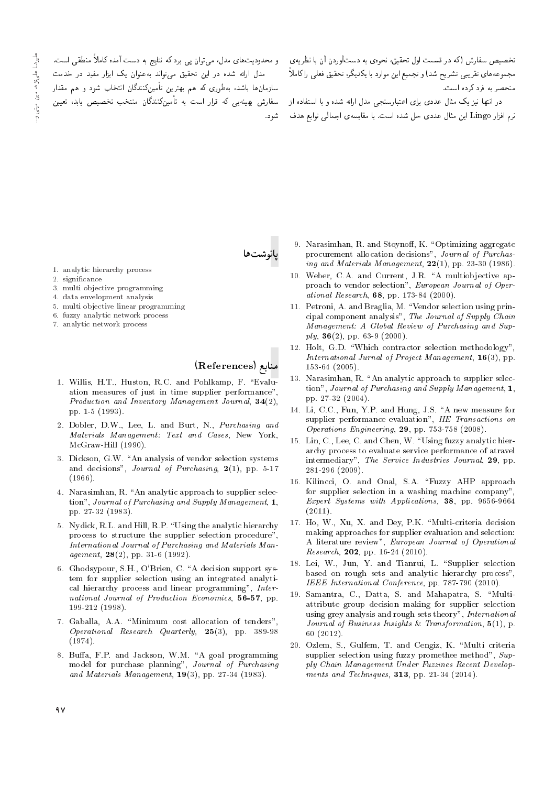تخصیص سفارش (که در قسمت اول تحقیق، نحوهی به دستآوردن آن با نظریهی – و محدودیتهای مدل، می توان یی برد که نتایج به دست آمده کاملاً منطقی است. مجموعههای تقریبی تشریح شد) و تجمیع این موارد با یکدیگر، تحقیق فعلمی راکاملاً منحصر به فرد کرده است.

> در انتها نیز یک مثال عددی برای اعتبارسنجی مدل ارائه شده و با استفاده از نرم افزار Lingo این مثال عددی حل شده است. با مقایسهی اجمالی توابع هدف

مدل ارائه شده در این تحقیق میتواند بهعنوان یک ابزار مفید در خدمت سازمانها باشد، بهطوری که هم بهترین تأمینکنندگان انتخاب شود و هم مقدار سفارش بهینهیی که قرار است به تأمینکنندگان منتخب تخصیص یابد، تعیین .<br>شەد.

- 1. analytic hierarchy process
- 2. significance
- 3. multi objective programming
- 4. data envelopment analysis
- 5. multi objective linear programming
- 6. fuzzy analytic network process
- 7. analytic network process

منابع (References)

- 1. Willis, H.T., Huston, R.C. and Pohlkamp, F. "Evaluation measures of just in time supplier performance" Production and Inventory Management Journal,  $34(2)$ , pp. 1-5 (1993).
- 2. Dobler, D.W., Lee, L. and Burt, N., Purchasing and Materials Management: Text and Cases, New York, McGraw-Hill (1990).
- 3. Dickson, G.W. "An analysis of vendor selection systems and decisions", Journal of Purchasing,  $2(1)$ , pp. 5-17  $(1966)$ .
- 4. Narasimhan, R. "An analytic approach to supplier selection", Journal of Purchasing and Supply Management, 1, pp. 27-32 (1983).
- 5. Nydick, R.L. and Hill, R.P. "Using the analytic hierarchy process to structure the supplier selection procedure", International Journal of Purchasing and Materials Management,  $28(2)$ , pp. 31-6 (1992).
- 6. Ghodsypour, S.H., O'Brien, C. "A decision support system for supplier selection using an integrated analytical hierarchy process and linear programming", International Journal of Production Economics, 56-57, pp. 199-212 (1998).
- 7. Gaballa, A.A. "Minimum cost allocation of tenders" Operational Research Quarterly, 25(3), pp. 389-98  $(1974).$
- 8. Buffa, F.P. and Jackson, W.M. "A goal programming model for purchase planning", Journal of Purchasing and Materials Management,  $19(3)$ , pp. 27-34 (1983).
- 9. Narasimhan, R. and Stoynoff, K. "Optimizing aggregate procurement allocation decisions", Journal of Purchasing and Materials Management,  $22(1)$ , pp. 23-30 (1986).
- 10. Weber, C.A. and Current, J.R. "A multiobjective approach to vendor selection", European Journal of Operational Research,  $68$ , pp. 173-84 (2000).
- 11. Petroni, A. and Braglia, M. "Vendor selection using principal component analysis", The Journal of Supply Chain Management: A Global Review of Purchasing and Sup $ply, 36(2), pp. 63-9 (2000).$
- 12. Holt, G.D. "Which contractor selection methodology", International Jurnal of Project Management,  $16(3)$ , pp.  $153-64$   $(2005)$ .
- 13. Narasimhan, R. "An analytic approach to supplier selection", Journal of Purchasing and Supply Management, 1, pp. 27-32 (2004).
- 14. Li, C.C., Fun, Y.P. and Hung, J.S. "A new measure for supplier performance evaluation", IIE Transactions on Operations Engineering, 29, pp. 753-758 (2008).
- 15. Lin, C., Lee, C. and Chen, W. "Using fuzzy analytic hierarchy process to evaluate service performance of atravel intermediary", The Service Industries Journal, 29, pp.  $281-296$  (2009).
- 16. Kilincci, O. and Onal, S.A. "Fuzzy AHP approach for supplier selection in a washing machine company" Expert Systems with Applications, 38, pp. 9656-9664  $(2011).$
- 17. Ho, W., Xu, X. and Dey, P.K. "Multi-criteria decision making approaches for supplier evaluation and selection: A literature review", European Journal of Operational *Research*, **202**, pp. 16-24 (2010).
- 18. Lei, W., Jun, Y. and Tianrui, L. "Supplier selection based on rough sets and analytic hierarchy process", IEEE International Conference, pp. 787-790 (2010).
- 19. Samantra, C., Datta, S. and Mahapatra, S. "Multiattribute group decision making for supplier selection using grey analysis and rough sets theory", International Journal of Business Insights & Transformation,  $5(1)$ , p.  $60(2012)$ .
- 20. Ozlem, S., Gulfem, T. and Cengiz, K. "Multi criteria supplier selection using fuzzy promethee method", Supply Chain Management Under Fuzzines Recent Developments and Techniques,  $313$ , pp. 21-34 (2014).

# عليوضا عليم بزاد، اميين اميينم